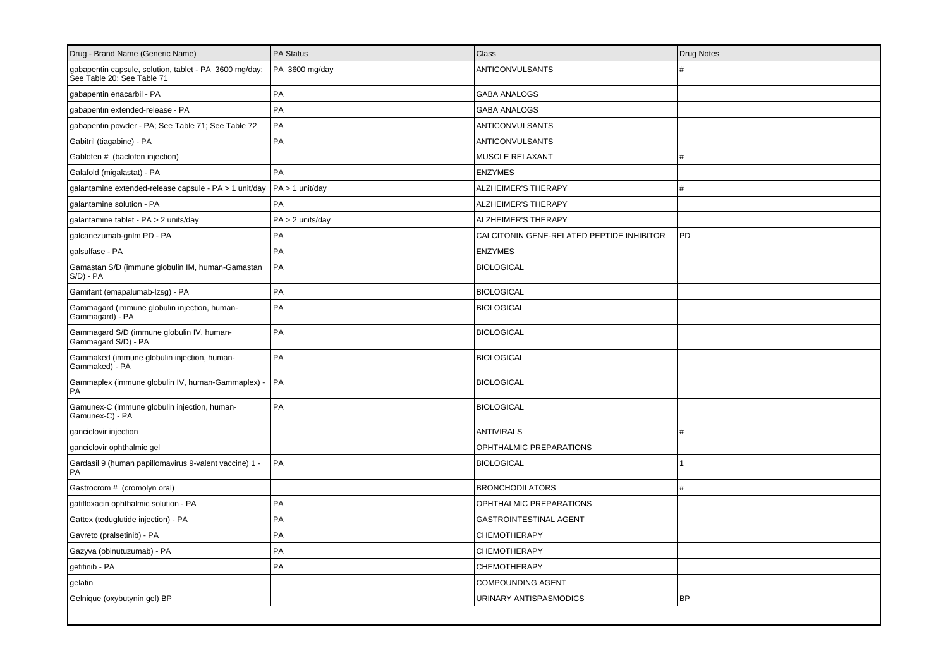| Drug - Brand Name (Generic Name)                                                     | PA Status        | Class                                     | <b>Drug Notes</b> |
|--------------------------------------------------------------------------------------|------------------|-------------------------------------------|-------------------|
| gabapentin capsule, solution, tablet - PA 3600 mg/day;<br>See Table 20; See Table 71 | PA 3600 mg/day   | ANTICONVULSANTS                           |                   |
| gabapentin enacarbil - PA                                                            | PA               | <b>GABA ANALOGS</b>                       |                   |
| gabapentin extended-release - PA                                                     | PA               | <b>GABA ANALOGS</b>                       |                   |
| gabapentin powder - PA; See Table 71; See Table 72                                   | PA               | <b>ANTICONVULSANTS</b>                    |                   |
| Gabitril (tiagabine) - PA                                                            | PA               | <b>ANTICONVULSANTS</b>                    |                   |
| Gablofen # (baclofen injection)                                                      |                  | MUSCLE RELAXANT                           | #                 |
| Galafold (migalastat) - PA                                                           | PA               | <b>ENZYMES</b>                            |                   |
| galantamine extended-release capsule - PA > 1 unit/day                               | PA > 1 unit/day  | <b>ALZHEIMER'S THERAPY</b>                | #                 |
| galantamine solution - PA                                                            | PA               | <b>ALZHEIMER'S THERAPY</b>                |                   |
| galantamine tablet - PA > 2 units/day                                                | PA > 2 units/day | <b>ALZHEIMER'S THERAPY</b>                |                   |
| galcanezumab-gnlm PD - PA                                                            | PA               | CALCITONIN GENE-RELATED PEPTIDE INHIBITOR | PD                |
| galsulfase - PA                                                                      | PA               | <b>ENZYMES</b>                            |                   |
| Gamastan S/D (immune globulin IM, human-Gamastan<br>$S/D$ ) - $PA$                   | PA               | <b>BIOLOGICAL</b>                         |                   |
| Gamifant (emapalumab-lzsg) - PA                                                      | PA               | <b>BIOLOGICAL</b>                         |                   |
| Gammagard (immune globulin injection, human-<br>Gammagard) - PA                      | PA               | <b>BIOLOGICAL</b>                         |                   |
| Gammagard S/D (immune globulin IV, human-<br>Gammagard S/D) - PA                     | PA               | <b>BIOLOGICAL</b>                         |                   |
| Gammaked (immune globulin injection, human-<br>Gammaked) - PA                        | PA               | <b>BIOLOGICAL</b>                         |                   |
| Gammaplex (immune globulin IV, human-Gammaplex) -<br>PA                              | l PA             | <b>BIOLOGICAL</b>                         |                   |
| Gamunex-C (immune globulin injection, human-<br>Gamunex-C) - PA                      | PA               | <b>BIOLOGICAL</b>                         |                   |
| ganciclovir injection                                                                |                  | <b>ANTIVIRALS</b>                         | #                 |
| ganciclovir ophthalmic gel                                                           |                  | OPHTHALMIC PREPARATIONS                   |                   |
| Gardasil 9 (human papillomavirus 9-valent vaccine) 1 -<br>PA                         | PA               | <b>BIOLOGICAL</b>                         |                   |
| Gastrocrom # (cromolyn oral)                                                         |                  | <b>BRONCHODILATORS</b>                    | #                 |
| gatifloxacin ophthalmic solution - PA                                                | PA               | OPHTHALMIC PREPARATIONS                   |                   |
| Gattex (teduglutide injection) - PA                                                  | PA               | <b>GASTROINTESTINAL AGENT</b>             |                   |
| Gavreto (pralsetinib) - PA                                                           | PA               | <b>CHEMOTHERAPY</b>                       |                   |
| Gazyva (obinutuzumab) - PA                                                           | PA               | CHEMOTHERAPY                              |                   |
| gefitinib - PA                                                                       | PA               | CHEMOTHERAPY                              |                   |
| gelatin                                                                              |                  | <b>COMPOUNDING AGENT</b>                  |                   |
| Gelnique (oxybutynin gel) BP                                                         |                  | URINARY ANTISPASMODICS                    | <b>BP</b>         |
|                                                                                      |                  |                                           |                   |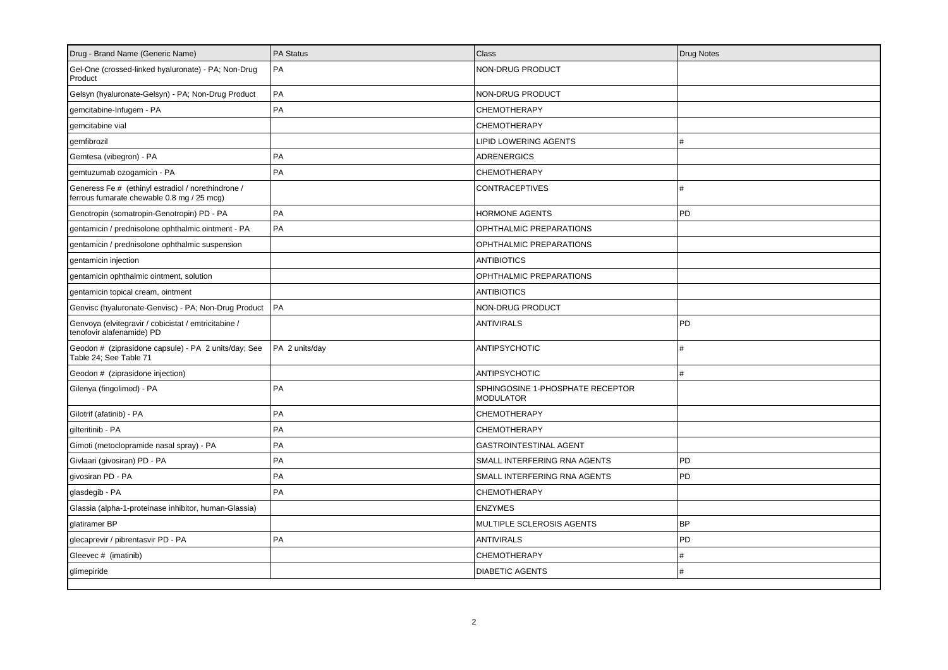| Drug - Brand Name (Generic Name)                                                                 | <b>PA Status</b> | <b>Class</b>                                         | <b>Drug Notes</b> |
|--------------------------------------------------------------------------------------------------|------------------|------------------------------------------------------|-------------------|
| Gel-One (crossed-linked hyaluronate) - PA; Non-Drug<br>Product                                   | PA               | NON-DRUG PRODUCT                                     |                   |
| Gelsyn (hyaluronate-Gelsyn) - PA; Non-Drug Product                                               | PA               | NON-DRUG PRODUCT                                     |                   |
| gemcitabine-Infugem - PA                                                                         | PA               | CHEMOTHERAPY                                         |                   |
| gemcitabine vial                                                                                 |                  | CHEMOTHERAPY                                         |                   |
| gemfibrozil                                                                                      |                  | LIPID LOWERING AGENTS                                | #                 |
| Gemtesa (vibegron) - PA                                                                          | PA               | <b>ADRENERGICS</b>                                   |                   |
| gemtuzumab ozogamicin - PA                                                                       | PA               | <b>CHEMOTHERAPY</b>                                  |                   |
| Generess Fe # (ethinyl estradiol / norethindrone /<br>ferrous fumarate chewable 0.8 mg / 25 mcg) |                  | <b>CONTRACEPTIVES</b>                                | #                 |
| Genotropin (somatropin-Genotropin) PD - PA                                                       | PA               | <b>HORMONE AGENTS</b>                                | PD                |
| gentamicin / prednisolone ophthalmic ointment - PA                                               | l PA             | OPHTHALMIC PREPARATIONS                              |                   |
| gentamicin / prednisolone ophthalmic suspension                                                  |                  | OPHTHALMIC PREPARATIONS                              |                   |
| gentamicin injection                                                                             |                  | <b>ANTIBIOTICS</b>                                   |                   |
| gentamicin ophthalmic ointment, solution                                                         |                  | OPHTHALMIC PREPARATIONS                              |                   |
| gentamicin topical cream, ointment                                                               |                  | <b>ANTIBIOTICS</b>                                   |                   |
| Genvisc (hyaluronate-Genvisc) - PA; Non-Drug Product                                             | <b>IPA</b>       | NON-DRUG PRODUCT                                     |                   |
| Genvoya (elvitegravir / cobicistat / emtricitabine /<br>tenofovir alafenamide) PD                |                  | <b>ANTIVIRALS</b>                                    | <b>PD</b>         |
| Geodon # (ziprasidone capsule) - PA 2 units/day; See<br>Table 24; See Table 71                   | PA 2 units/day   | <b>ANTIPSYCHOTIC</b>                                 | #                 |
| Geodon # (ziprasidone injection)                                                                 |                  | <b>ANTIPSYCHOTIC</b>                                 | #                 |
| Gilenya (fingolimod) - PA                                                                        | PA               | SPHINGOSINE 1-PHOSPHATE RECEPTOR<br><b>MODULATOR</b> |                   |
| Gilotrif (afatinib) - PA                                                                         | PA               | <b>CHEMOTHERAPY</b>                                  |                   |
| gilteritinib - PA                                                                                | PA               | <b>CHEMOTHERAPY</b>                                  |                   |
| Gimoti (metoclopramide nasal spray) - PA                                                         | PA               | <b>GASTROINTESTINAL AGENT</b>                        |                   |
| Givlaari (givosiran) PD - PA                                                                     | PA               | SMALL INTERFERING RNA AGENTS                         | <b>PD</b>         |
| givosiran PD - PA                                                                                | PA               | SMALL INTERFERING RNA AGENTS                         | PD                |
| glasdegib - PA                                                                                   | PA               | CHEMOTHERAPY                                         |                   |
| Glassia (alpha-1-proteinase inhibitor, human-Glassia)                                            |                  | <b>ENZYMES</b>                                       |                   |
| glatiramer BP                                                                                    |                  | MULTIPLE SCLEROSIS AGENTS                            | <b>BP</b>         |
| glecaprevir / pibrentasvir PD - PA                                                               | PA               | <b>ANTIVIRALS</b>                                    | <b>PD</b>         |
| Gleevec # (imatinib)                                                                             |                  | <b>CHEMOTHERAPY</b>                                  | #                 |
| glimepiride                                                                                      |                  | <b>DIABETIC AGENTS</b>                               | #                 |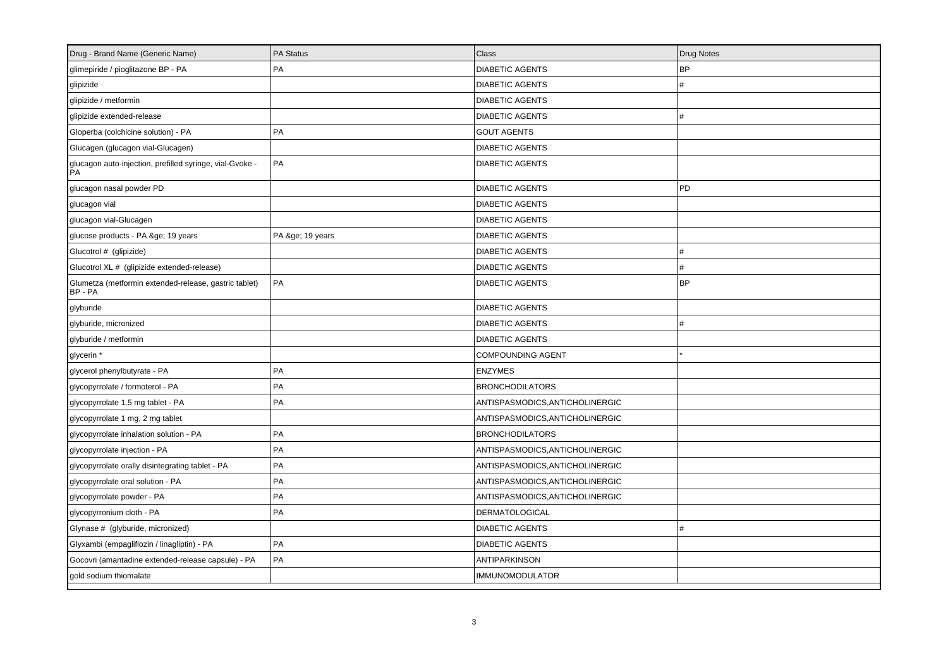| Drug - Brand Name (Generic Name)                                 | PA Status     | <b>Class</b>                    | Drug Notes |
|------------------------------------------------------------------|---------------|---------------------------------|------------|
| glimepiride / pioglitazone BP - PA                               | PA            | <b>DIABETIC AGENTS</b>          | <b>BP</b>  |
| glipizide                                                        |               | <b>DIABETIC AGENTS</b>          | #          |
| glipizide / metformin                                            |               | <b>DIABETIC AGENTS</b>          |            |
| glipizide extended-release                                       |               | <b>DIABETIC AGENTS</b>          | #          |
| Gloperba (colchicine solution) - PA                              | PA            | <b>GOUT AGENTS</b>              |            |
| Glucagen (glucagon vial-Glucagen)                                |               | <b>DIABETIC AGENTS</b>          |            |
| glucagon auto-injection, prefilled syringe, vial-Gvoke -<br>PA   | PA            | <b>DIABETIC AGENTS</b>          |            |
| glucagon nasal powder PD                                         |               | <b>DIABETIC AGENTS</b>          | PD         |
| glucagon vial                                                    |               | <b>DIABETIC AGENTS</b>          |            |
| glucagon vial-Glucagen                                           |               | <b>DIABETIC AGENTS</b>          |            |
| glucose products - PA ≥ 19 years                                 | PA ≥ 19 years | <b>DIABETIC AGENTS</b>          |            |
| Glucotrol # (glipizide)                                          |               | <b>DIABETIC AGENTS</b>          | #          |
| Glucotrol XL # (glipizide extended-release)                      |               | <b>DIABETIC AGENTS</b>          | #          |
| Glumetza (metformin extended-release, gastric tablet)<br>BP - PA | l PA          | <b>DIABETIC AGENTS</b>          | <b>BP</b>  |
| glyburide                                                        |               | <b>DIABETIC AGENTS</b>          |            |
| glyburide, micronized                                            |               | <b>DIABETIC AGENTS</b>          | #          |
| glyburide / metformin                                            |               | <b>DIABETIC AGENTS</b>          |            |
| glycerin *                                                       |               | <b>COMPOUNDING AGENT</b>        |            |
| glycerol phenylbutyrate - PA                                     | <b>PA</b>     | <b>ENZYMES</b>                  |            |
| glycopyrrolate / formoterol - PA                                 | PA            | <b>BRONCHODILATORS</b>          |            |
| glycopyrrolate 1.5 mg tablet - PA                                | PA            | ANTISPASMODICS, ANTICHOLINERGIC |            |
| glycopyrrolate 1 mg, 2 mg tablet                                 |               | ANTISPASMODICS, ANTICHOLINERGIC |            |
| glycopyrrolate inhalation solution - PA                          | PA            | <b>BRONCHODILATORS</b>          |            |
| glycopyrrolate injection - PA                                    | l PA          | ANTISPASMODICS, ANTICHOLINERGIC |            |
| glycopyrrolate orally disintegrating tablet - PA                 | PA            | ANTISPASMODICS,ANTICHOLINERGIC  |            |
| glycopyrrolate oral solution - PA                                | PA            | ANTISPASMODICS, ANTICHOLINERGIC |            |
| glycopyrrolate powder - PA                                       | PA            | ANTISPASMODICS, ANTICHOLINERGIC |            |
| glycopyrronium cloth - PA                                        | PA            | <b>DERMATOLOGICAL</b>           |            |
| Glynase # (glyburide, micronized)                                |               | <b>DIABETIC AGENTS</b>          | #          |
| Glyxambi (empagliflozin / linagliptin) - PA                      | PA            | <b>DIABETIC AGENTS</b>          |            |
| Gocovri (amantadine extended-release capsule) - PA               | PA            | <b>ANTIPARKINSON</b>            |            |
| gold sodium thiomalate                                           |               | <b>IMMUNOMODULATOR</b>          |            |